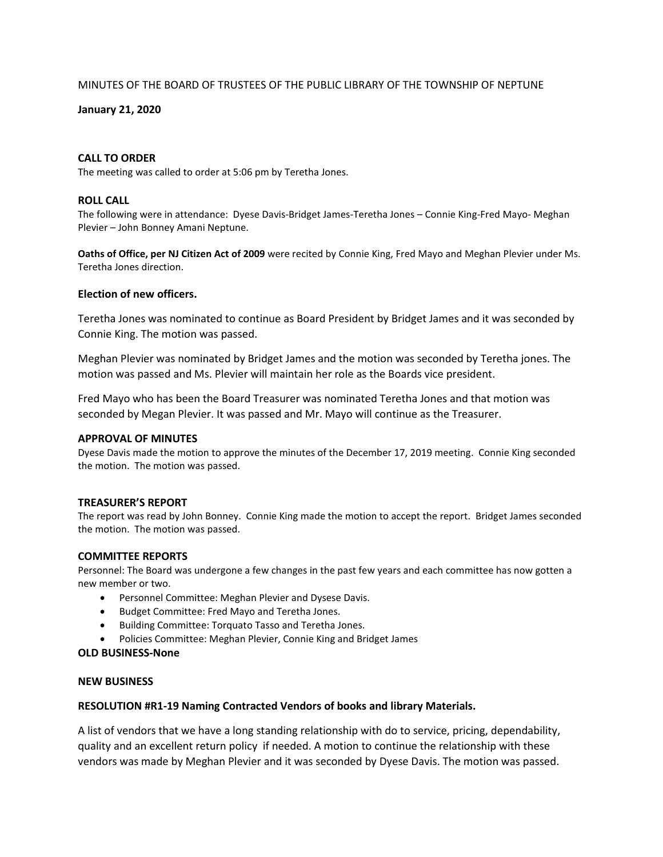## MINUTES OF THE BOARD OF TRUSTEES OF THE PUBLIC LIBRARY OF THE TOWNSHIP OF NEPTUNE

### **January 21, 2020**

#### **CALL TO ORDER**

The meeting was called to order at 5:06 pm by Teretha Jones.

#### **ROLL CALL**

The following were in attendance: Dyese Davis-Bridget James-Teretha Jones – Connie King-Fred Mayo- Meghan Plevier – John Bonney Amani Neptune.

**Oaths of Office, per NJ Citizen Act of 2009** were recited by Connie King, Fred Mayo and Meghan Plevier under Ms. Teretha Jones direction.

## **Election of new officers.**

Teretha Jones was nominated to continue as Board President by Bridget James and it was seconded by Connie King. The motion was passed.

Meghan Plevier was nominated by Bridget James and the motion was seconded by Teretha jones. The motion was passed and Ms. Plevier will maintain her role as the Boards vice president.

Fred Mayo who has been the Board Treasurer was nominated Teretha Jones and that motion was seconded by Megan Plevier. It was passed and Mr. Mayo will continue as the Treasurer.

#### **APPROVAL OF MINUTES**

Dyese Davis made the motion to approve the minutes of the December 17, 2019 meeting. Connie King seconded the motion. The motion was passed.

#### **TREASURER'S REPORT**

The report was read by John Bonney. Connie King made the motion to accept the report. Bridget James seconded the motion. The motion was passed.

#### **COMMITTEE REPORTS**

Personnel: The Board was undergone a few changes in the past few years and each committee has now gotten a new member or two.

- Personnel Committee: Meghan Plevier and Dysese Davis.
- Budget Committee: Fred Mayo and Teretha Jones.
- Building Committee: Torquato Tasso and Teretha Jones.
- Policies Committee: Meghan Plevier, Connie King and Bridget James

#### **OLD BUSINESS-None**

#### **NEW BUSINESS**

#### **RESOLUTION #R1-19 Naming Contracted Vendors of books and library Materials.**

A list of vendors that we have a long standing relationship with do to service, pricing, dependability, quality and an excellent return policy if needed. A motion to continue the relationship with these vendors was made by Meghan Plevier and it was seconded by Dyese Davis. The motion was passed.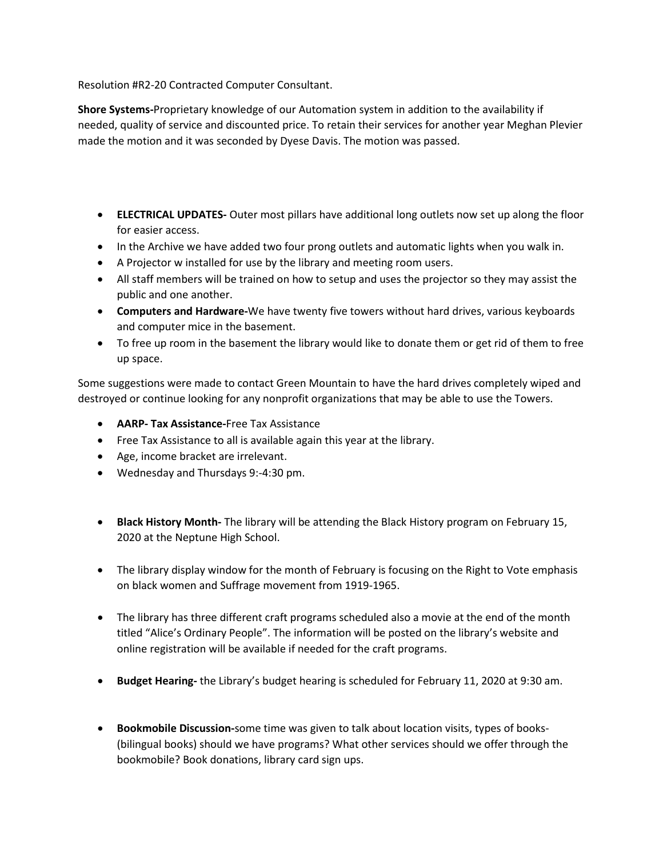Resolution #R2-20 Contracted Computer Consultant.

**Shore Systems-**Proprietary knowledge of our Automation system in addition to the availability if needed, quality of service and discounted price. To retain their services for another year Meghan Plevier made the motion and it was seconded by Dyese Davis. The motion was passed.

- **ELECTRICAL UPDATES-** Outer most pillars have additional long outlets now set up along the floor for easier access.
- In the Archive we have added two four prong outlets and automatic lights when you walk in.
- A Projector w installed for use by the library and meeting room users.
- All staff members will be trained on how to setup and uses the projector so they may assist the public and one another.
- **Computers and Hardware-**We have twenty five towers without hard drives, various keyboards and computer mice in the basement.
- To free up room in the basement the library would like to donate them or get rid of them to free up space.

Some suggestions were made to contact Green Mountain to have the hard drives completely wiped and destroyed or continue looking for any nonprofit organizations that may be able to use the Towers.

- **AARP- Tax Assistance-**Free Tax Assistance
- Free Tax Assistance to all is available again this year at the library.
- Age, income bracket are irrelevant.
- Wednesday and Thursdays 9:-4:30 pm.
- **Black History Month-** The library will be attending the Black History program on February 15, 2020 at the Neptune High School.
- The library display window for the month of February is focusing on the Right to Vote emphasis on black women and Suffrage movement from 1919-1965.
- The library has three different craft programs scheduled also a movie at the end of the month titled "Alice's Ordinary People". The information will be posted on the library's website and online registration will be available if needed for the craft programs.
- **Budget Hearing-** the Library's budget hearing is scheduled for February 11, 2020 at 9:30 am.
- **Bookmobile Discussion-**some time was given to talk about location visits, types of books- (bilingual books) should we have programs? What other services should we offer through the bookmobile? Book donations, library card sign ups.